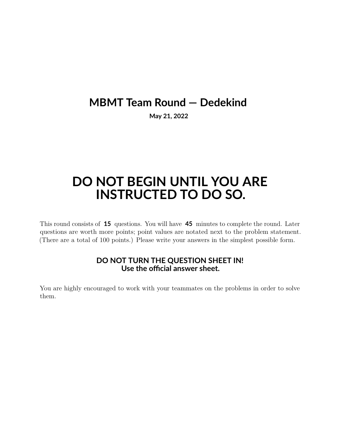## **MBMT Team Round — Dedekind**

**May 21, 2022**

## **DO NOT BEGIN UNTIL YOU ARE INSTRUCTED TO DO SO.**

This round consists of **15** questions. You will have **45** minutes to complete the round. Later questions are worth more points; point values are notated next to the problem statement. (There are a total of 100 points.) Please write your answers in the simplest possible form.

## **DO NOT TURN THE QUESTION SHEET IN! Use the official answer sheet.**

You are highly encouraged to work with your teammates on the problems in order to solve them.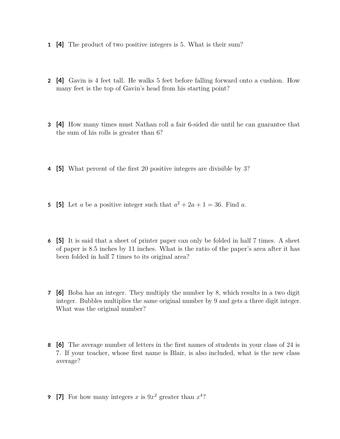- **1 [4]** The product of two positive integers is 5. What is their sum?
- **2 [4]** Gavin is 4 feet tall. He walks 5 feet before falling forward onto a cushion. How many feet is the top of Gavin's head from his starting point?
- **3 [4]** How many times must Nathan roll a fair 6-sided die until he can guarantee that the sum of his rolls is greater than 6?
- **4 [5]** What percent of the first 20 positive integers are divisible by 3?
- **5** [5] Let *a* be a positive integer such that  $a^2 + 2a + 1 = 36$ . Find *a*.
- **6 [5]** It is said that a sheet of printer paper can only be folded in half 7 times. A sheet of paper is 8.5 inches by 11 inches. What is the ratio of the paper's area after it has been folded in half 7 times to its original area?
- **7 [6]** Boba has an integer. They multiply the number by 8, which results in a two digit integer. Bubbles multiplies the same original number by 9 and gets a three digit integer. What was the original number?
- **8 [6]** The average number of letters in the first names of students in your class of 24 is 7. If your teacher, whose first name is Blair, is also included, what is the new class average?
- **9** [7] For how many integers x is  $9x^2$  greater than  $x^4$ ?